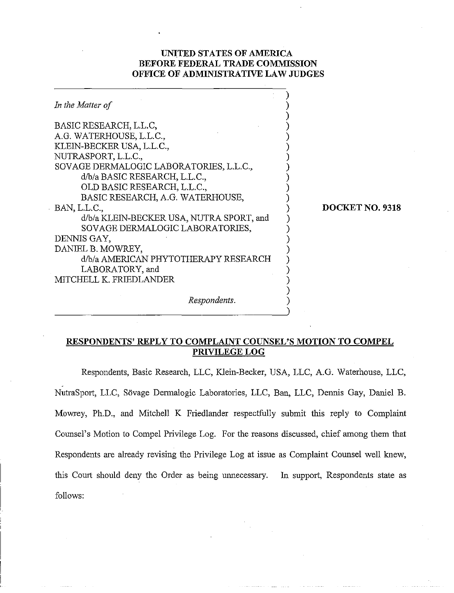# **UNITED STATES OF AMERICA BEFORE FEDERAL TRADE COMMISSION OFFICE OF ADMINISTRATIVE LAW JUDGES**

| In the Matter of                                                                                                                                                                                                                                                                                                                                                                                                                                                               |                 |
|--------------------------------------------------------------------------------------------------------------------------------------------------------------------------------------------------------------------------------------------------------------------------------------------------------------------------------------------------------------------------------------------------------------------------------------------------------------------------------|-----------------|
| BASIC RESEARCH, L.L.C.<br>A.G. WATERHOUSE, L.L.C.,<br>KLEIN-BECKER USA, L.L.C.,<br>NUTRASPORT, L.L.C.,<br>SOVAGE DERMALOGIC LABORATORIES, L.L.C.,<br>d/b/a BASIC RESEARCH, L.L.C.,<br>OLD BASIC RESEARCH, L.L.C.,<br>BASIC RESEARCH, A.G. WATERHOUSE,<br>BAN, L.L.C.,<br>d/b/a KLEIN-BECKER USA, NUTRA SPORT, and<br>SOVAGE DERMALOGIC LABORATORIES,<br>DENNIS GAY,<br>DANIEL B. MOWREY,<br>d/b/a AMERICAN PHYTOTHERAPY RESEARCH<br>LABORATORY, and<br>MITCHELL K. FRIEDLANDER | DOCKET NO. 9318 |
| Respondents.                                                                                                                                                                                                                                                                                                                                                                                                                                                                   |                 |

# **RESPONDENTS' REPLY TO COMPLAINT COUNSEL'S MOTION TO COMPEL PRIVILEGE LOG**

Respondents, Basic Research, LLC, Klein-Becker, USA, LLC, A.G. Waterhouse, LLC, NutraSport, LLC, Sövage Dermalogic Laboratories, LLC, Ban, LLC, Dennis Gay, Daniel B. Mowrey, Ph.D., and Mitchell K Friedlander respectfully submit this reply to Complaint Counsel's Motion to Compel Privilege Log. For the reasons discussed, chief among them that Respondents are already revising the Privilege Log at issue as Complaint Counsel well knew, this Court should deny the Order as being unnecessary. In support, Respondents state as follows: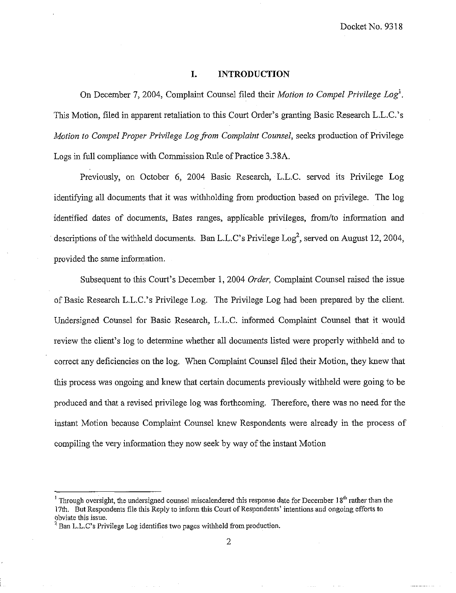Docket No. 9318

#### **I. INTRODUCTION**

On December 7, 2004, Complaint Counsel filed their *Motion to Compel Privilege Log*<sup>1</sup>. This Motion, filed in apparent retaliation to this Court Order's granting Basic Research L.L.C.'s *Motion to Compel Proper Privilege Log from Complaint Counsel, seeks production of Privilege* Logs in full complimce with Commission Rule of Practice 3.38A.

Previously, on October *6,* 2004 Basic Research, L.L.C. served its Privilege Log identifying all documents that it was withholding from production based on privilege. The log identified dates of documents, Bates ranges, applicable privileges, from/to information and descriptions of the withheld documents. Ban L.L.C's Privilege  $\text{Log}^2$ , served on August 12, 2004, provided the same information.

Subsequent to this Court's December 1, 2004 *Order*, Complaint Counsel raised the issue of Basic Research L.L.C.'s Privilege Log. The Privilege Log had been prepared by the client. Undersigned Counsel for Basic Research, L.L.C. informed Complaint Counsel that it would review the client's log to determine whether all documents listed were properly withheld and to correct any deficiencies on the log. When Complaint Counsel filed their Motion, they knew that this process was ongoing and knew that certain documents previously withheld were going to be produced and that a revised privilege log was forthcoming. Therefore, there was no need for the instant Motion because Complaint Counsel knew Respondents were already in the process of compiling the very information they now seek by way of the instant Motion

<sup>&</sup>lt;sup>1</sup> Through oversight, the undersigned counsel miscalendered this response date for December 18<sup>th</sup> rather than the 17th. But Respondents file this Reply to inform this Court of Respondents' intentions and ongoing efforts to obviate this issue.

 $3$  Ban L.L.C's Privilege Log identifies two pages withheld from production.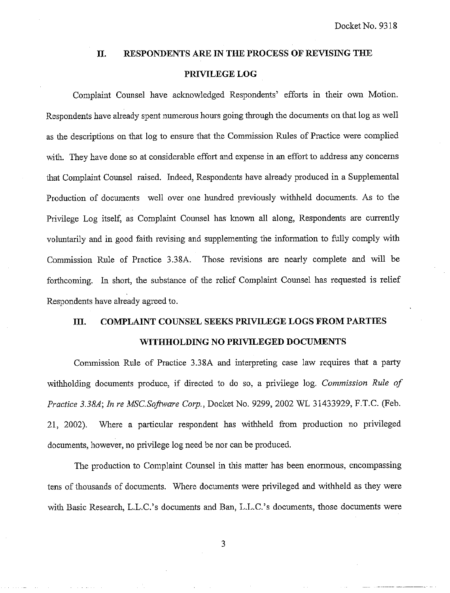### **11. RESPONDENTS ARE IN THE PROCESS OF REVISING THE**

## **PRIVILEGE LOG**

Complaint Counsel have acknowledged Respondents' efforts in their own Motion. Respondents have already spent numerous hours going through the documents on that log as well as the descriptions on that log to ensure that the Commission Rules of Practice were complied with. They have done so at considerable effort and expense in an effort to address any concerns Ihat Complaint Counsel raised. Indeed, Respondents have already produced in a Supplemental Production of documents well over one hundred previously withheld documents. As to the Privilege Log itself, as Complaint Counsel has known all along, Respondents are currently voluntarily and in good faith revising and supplementing the information to fully comply with Conmission Rule of Practice 3.38A. Those revisions are nearly complete and will be forthcoming. In short, the substance of the relief Complaint Counsel has requested is relief Respondents have already agreed to.

# **111. COMPLAINT COUNSEL SEEKS PRIVILEGE LOGS FROM PARTIES**

### **WITHHOLDING NO PRIVILEGED DOCUMENTS**

Commission Rule of Practice 3.38A and interpreting case law requires that a party withholding documents produce, if directed to do so, a privilege log. *Commission Rule of* Practice 3.38A; In re MSC.Software Corp., Docket No. 9299, 2002 WL 31433929, F.T.C. (Feb. 21, 2002). Where a particular respondent has withheld from production no privileged documents, however, no privilege log need be nor can be produced.

The production to Complaint Counsel in this matter has been enormous, encompassing tens of thousands of documents. Where documents were privileged and withheld as they were with Basic Research, L.L.C.'s documents and Ban, L.L.C.'s documents, those documents were

3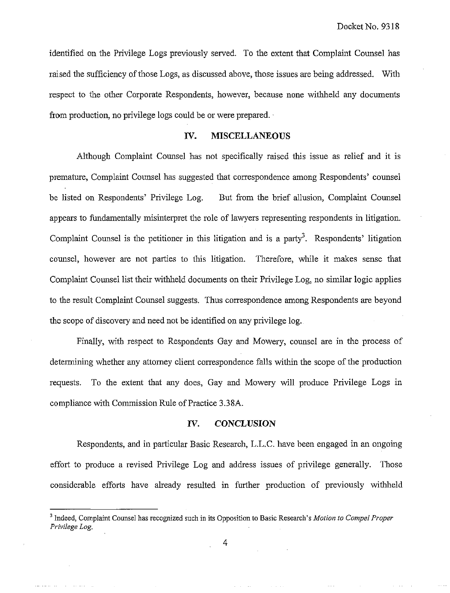identified on the Privilege Logs previously served. To the extent that Complaint Counsel has raised the sufficiency of those Logs, as discussed above, those issues are being addressed. With respect to the other Corporate Respondents, however, because none withheld any documents from production, no privilege logs could be or were prepared.

## **IV. MISCELLANEOUS**

Although Complaint Counsel has not specifically raised this issue as relief and it is premature, Complaint Counsel has suggested that correspondence among Respondents' counsel be listed on Respondents' Privilege Log. But from the brief allusion, Complaint Counsel appears to fundamentally misinterpret the role of lawyers representing respondents in litigation. Complaint Counsel is the petitioner in this litigation and is a party<sup>3</sup>. Respondents' litigation counsel, however are not parties to this litigation. Therefore, while it makes sense that Complaint Counsel list their withheld documents on their Privilege Log, no similar logic applies to the result Complaint Counsel suggests. Thus correspondence among Respondents are beyond the scope of discovery and need not be identified on any privilege log.

Finally, with respect to Respondents Gay and Mowery, counsel are in the process of determining whether any attorney client correspondence falls within the scope of the production requests. To the extent that any does, Gay and Mowery will produce Privilege Logs in compliance with Commission Rule of Practice 3.38A.

#### **IV. CONCLUSION**

Respondents, and in particular Basic Research, L.L.C. have been engaged in an ongoing effort to produce a revised Privilege Log and address issues of privilege generally. Those considerable efforts have already resulted in further production of previously withheld

<sup>&</sup>lt;sup>3</sup> Indeed, Complaint Counsel has recognized such in its Opposition to Basic Research's *Motion to Compel Proper Privilege Log.*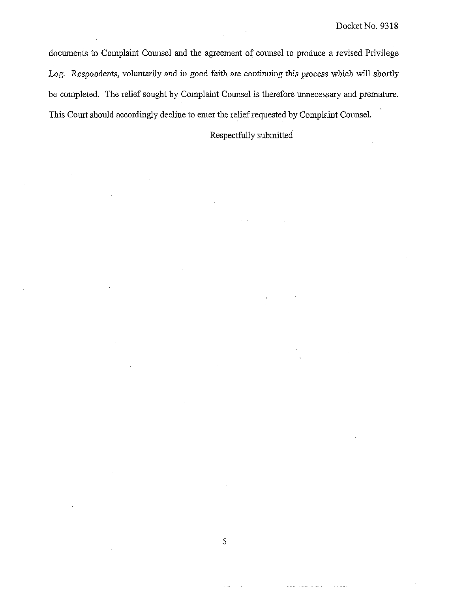documents to Complaint Counsel and the agreement of counsel to produce a revised Privilege Log. Respondents, voluntarily and in good faith are continuing this process which will shortly be completed. The relief sought by Complaint Counsel is therefore unnecessary and premature. This Court should accordingly decline to enter the relief requested by Complaint Counsel.

Respectfully submitted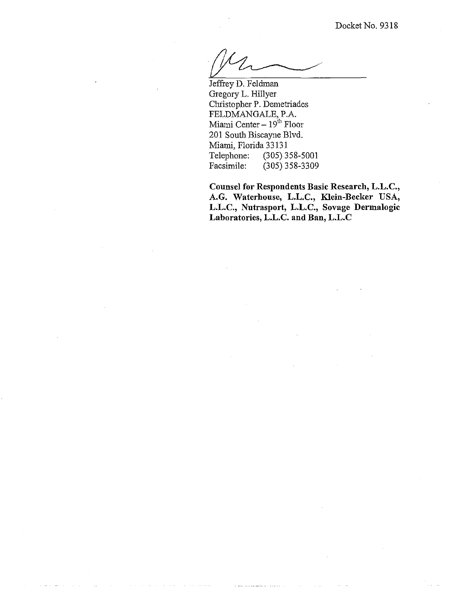Jeffrey D. Feldman Gregory L. Hillyer Christopher P. Demetriades PELDMANGALE, P.A. Miami Center - 19<sup>th</sup> Floor 201 South Biscayne Blvd. Miami, Florida 33131<br>Telephone: (305) 3 Telephone: (305) 358-5001<br>Facsimile: (305) 358-3309  $(305)$  358-3309

**Counsel for Respondents Basic Research, L.L.C.,**  A.G. Waterhouse, L.L.C., Klein-Becker USA, **L.L.C., Nutrasport, L.L.C., Sovage Dermalogic Laboratories, L.L.C. and Ban, L.L.C**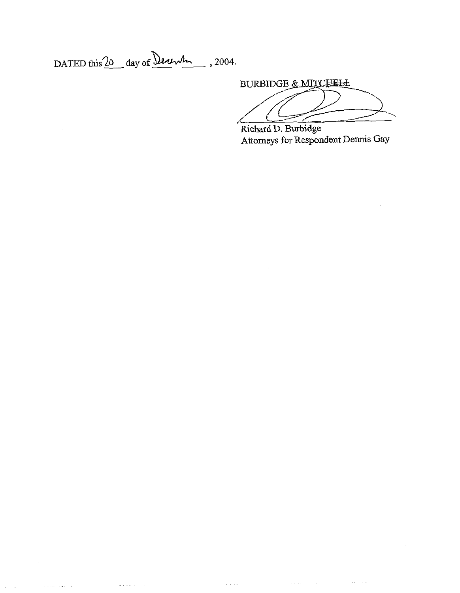DATED this  $20$  day of Derwin, 2004.

 $\mathcal{L}_{\mathcal{B}}$  is a set of  $\mathcal{L}_{\mathcal{B}}$  . The contract of  $\mathcal{L}_{\mathcal{B}}$ 

 $\hat{r}$  . The contract compact of  $\hat{r}$ 

 $\alpha$  ,  $\beta$  ,  $\alpha$ 

BURBIDGE & MITCHELL

 $\hat{f}$  is a simple subset of the sequence of the sequence of the sequence of the sequence of  $\hat{f}$ 

Richard D. Burbidge Attorneys for Respondent Dennis Gay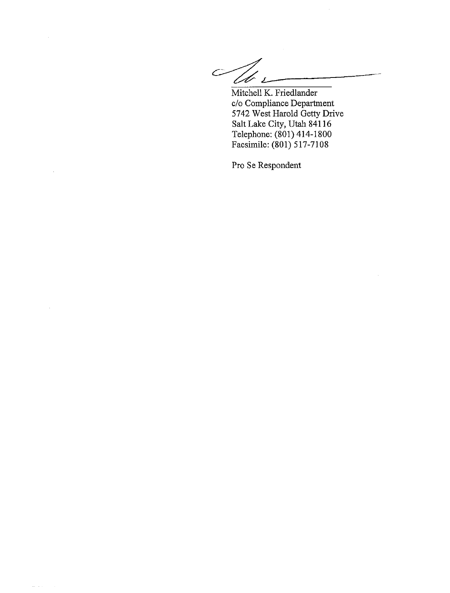$\overline{C}$ l b

Mitchell K. Friedlander c/o Compliance Department 5742 West Harold Getty Drive Salt Lake City, Utah 841 16 Telephone: (801) 414-1800 Facsimile: (801) 5 17-7108

Pro Se Respondent

 $\omega_{\rm{eff}}$  ,  $\omega_{\rm{eff}}$ 

 $\sim$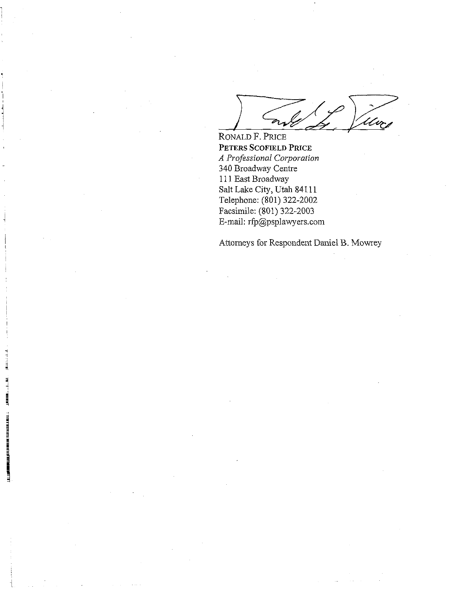RONALD F. PRICE **PETERS** *SCOFIELD PRICE A Professional Corporation*  340 Broadway Centre 111 East Broadway Salt Lake City, Utah 841 11 Telephone: (801) 322-2002 Facsimile: (801) 322-2003 E-mail: rfp@psplawyers.com

ILLEN IN BEER AND AT A BEET

E

Atlorneys for Respondent Daniel B. Mowey